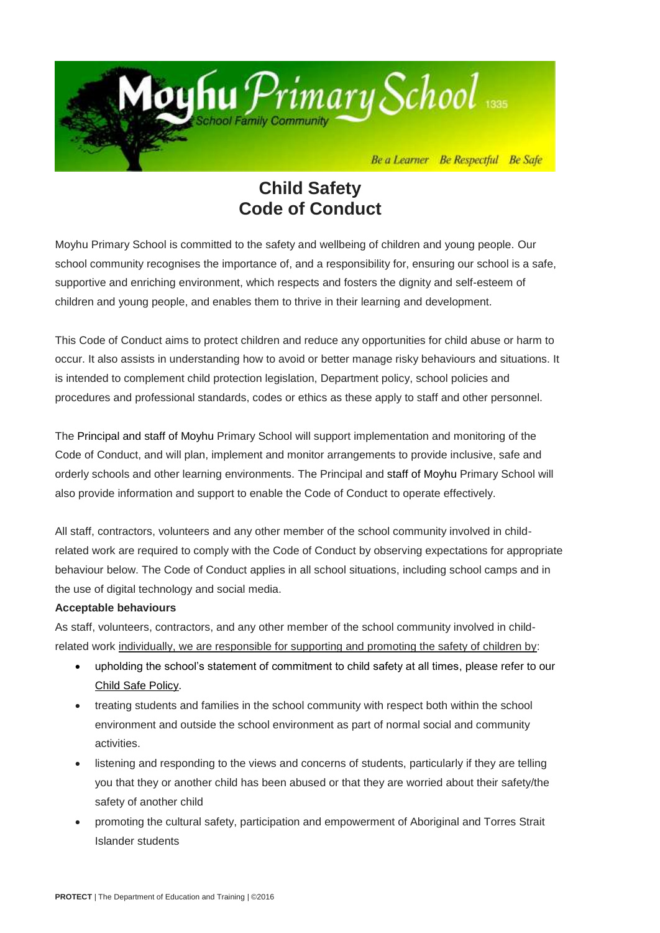

## **Child Safety Code of Conduct**

Moyhu Primary School is committed to the safety and wellbeing of children and young people. Our school community recognises the importance of, and a responsibility for, ensuring our school is a safe, supportive and enriching environment, which respects and fosters the dignity and self-esteem of children and young people, and enables them to thrive in their learning and development.

This Code of Conduct aims to protect children and reduce any opportunities for child abuse or harm to occur. It also assists in understanding how to avoid or better manage risky behaviours and situations. It is intended to complement child protection legislation, Department policy, school policies and procedures and professional standards, codes or ethics as these apply to staff and other personnel.

The Principal and staff of Moyhu Primary School will support implementation and monitoring of the Code of Conduct, and will plan, implement and monitor arrangements to provide inclusive, safe and orderly schools and other learning environments. The Principal and staff of Moyhu Primary School will also provide information and support to enable the Code of Conduct to operate effectively.

All staff, contractors, volunteers and any other member of the school community involved in childrelated work are required to comply with the Code of Conduct by observing expectations for appropriate behaviour below. The Code of Conduct applies in all school situations, including school camps and in the use of digital technology and social media.

## **Acceptable behaviours**

As staff, volunteers, contractors, and any other member of the school community involved in childrelated work individually, we are responsible for supporting and promoting the safety of children by:

- upholding the school's statement of commitment to child safety at all times, please refer to our [Child Safe Policy.](http://moyhups.vic.edu.au/child-safe-school-policies/)
- treating students and families in the school community with respect both within the school environment and outside the school environment as part of normal social and community activities.
- listening and responding to the views and concerns of students, particularly if they are telling you that they or another child has been abused or that they are worried about their safety/the safety of another child
- promoting the cultural safety, participation and empowerment of Aboriginal and Torres Strait Islander students